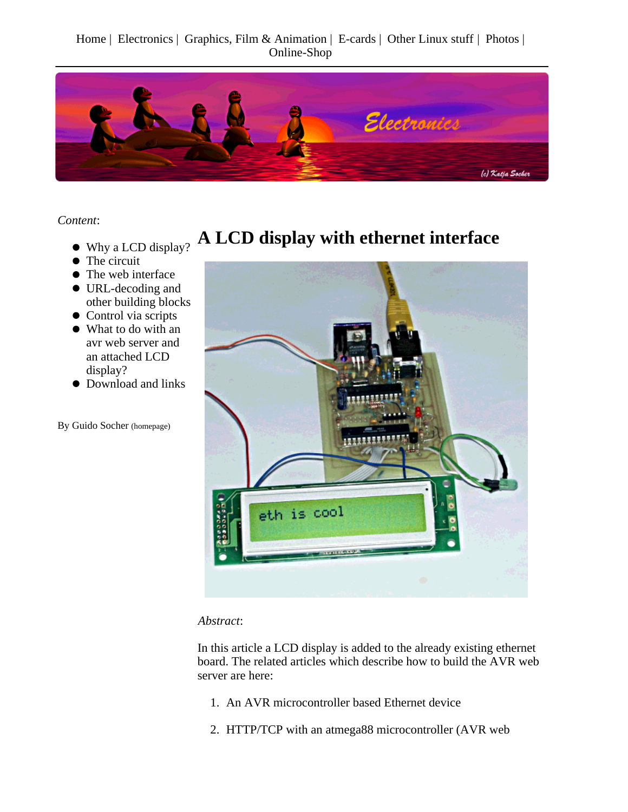Home | Electronics | Graphics, Film & Animation | E-cards | Other Linux stuff | Photos | Online-Shop



*Content*:

- Why a LCD display?
- The circuit
- The web interface
- URL-decoding and other building blocks
- Control via scripts
- What to do with an avr web server and an attached LCD display?
- $\bullet$  Download and links

By Guido Socher (homepage)

## **A LCD display with ethernet interface**



#### *Abstract*:

In this article a LCD display is added to the already existing ethernet board. The related articles which describe how to build the AVR web server are here:

- 1. An AVR microcontroller based Ethernet device
- 2. HTTP/TCP with an atmega88 microcontroller (AVR web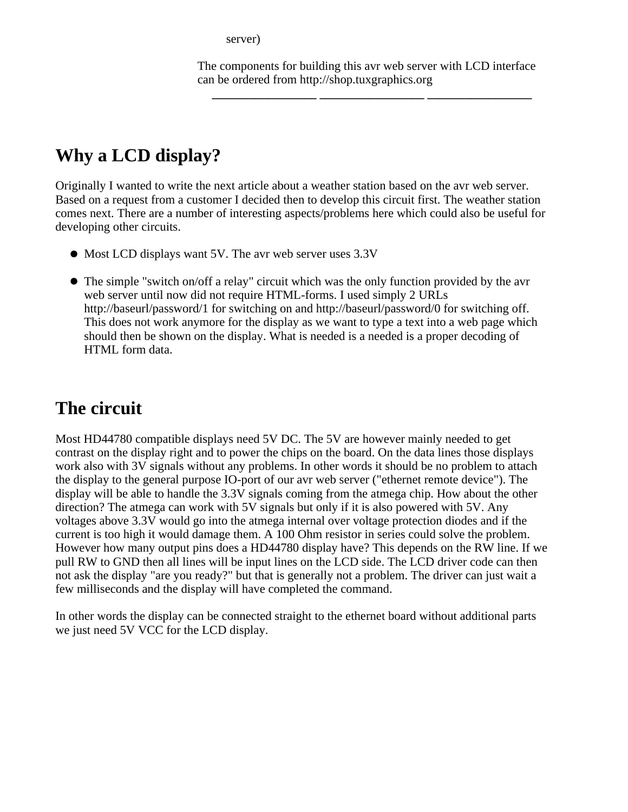server)

The components for building this avr web server with LCD interface can be ordered from http://shop.tuxgraphics.org

**\_\_\_\_\_\_\_\_\_\_\_\_\_\_\_\_\_ \_\_\_\_\_\_\_\_\_\_\_\_\_\_\_\_\_ \_\_\_\_\_\_\_\_\_\_\_\_\_\_\_\_\_**

## **Why a LCD display?**

Originally I wanted to write the next article about a weather station based on the avr web server. Based on a request from a customer I decided then to develop this circuit first. The weather station comes next. There are a number of interesting aspects/problems here which could also be useful for developing other circuits.

- Most LCD displays want 5V. The avr web server uses 3.3V
- The simple "switch on/off a relay" circuit which was the only function provided by the avr web server until now did not require HTML-forms. I used simply 2 URLs http://baseurl/password/1 for switching on and http://baseurl/password/0 for switching off. This does not work anymore for the display as we want to type a text into a web page which should then be shown on the display. What is needed is a needed is a proper decoding of HTML form data.

## **The circuit**

Most HD44780 compatible displays need 5V DC. The 5V are however mainly needed to get contrast on the display right and to power the chips on the board. On the data lines those displays work also with 3V signals without any problems. In other words it should be no problem to attach the display to the general purpose IO-port of our avr web server ("ethernet remote device"). The display will be able to handle the 3.3V signals coming from the atmega chip. How about the other direction? The atmega can work with 5V signals but only if it is also powered with 5V. Any voltages above 3.3V would go into the atmega internal over voltage protection diodes and if the current is too high it would damage them. A 100 Ohm resistor in series could solve the problem. However how many output pins does a HD44780 display have? This depends on the RW line. If we pull RW to GND then all lines will be input lines on the LCD side. The LCD driver code can then not ask the display "are you ready?" but that is generally not a problem. The driver can just wait a few milliseconds and the display will have completed the command.

In other words the display can be connected straight to the ethernet board without additional parts we just need 5V VCC for the LCD display.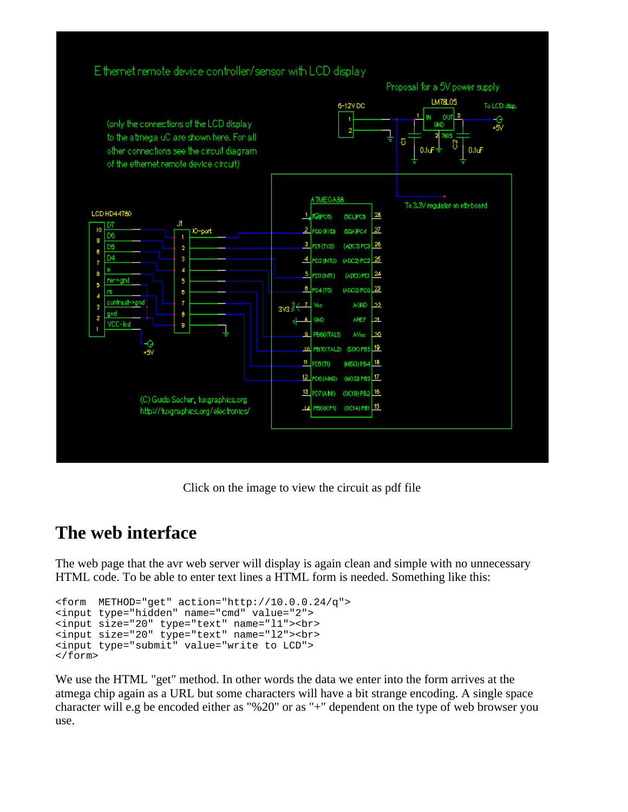

Click on the image to view the circuit as pdf file

### **The web interface**

The web page that the avr web server will display is again clean and simple with no unnecessary HTML code. To be able to enter text lines a HTML form is needed. Something like this:

```
<form METHOD="get" action="http://10.0.0.24/q">
<input type="hidden" name="cmd" value="2">
<input size="20" type="text" name="l1"><br>
<input size="20" type="text" name="l2"><br>
<input type="submit" value="write to LCD">
</form>
```
We use the HTML "get" method. In other words the data we enter into the form arrives at the atmega chip again as a URL but some characters will have a bit strange encoding. A single space character will e.g be encoded either as "%20" or as "+" dependent on the type of web browser you use.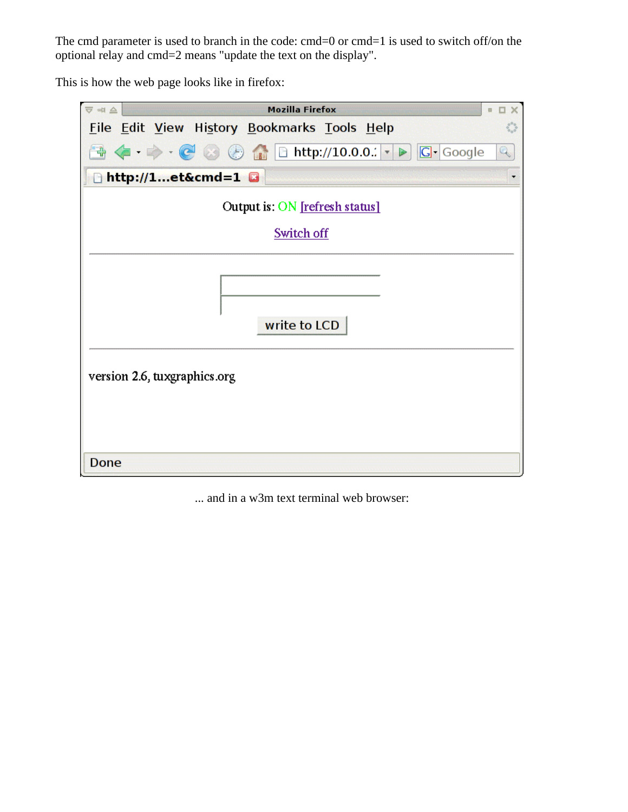The cmd parameter is used to branch in the code: cmd=0 or cmd=1 is used to switch off/on the optional relay and cmd=2 means "update the text on the display".

This is how the web page looks like in firefox:

| <b>Mozilla Firefox</b><br>$\overline{\nabla}$ = $\triangle$<br>a,<br>п<br>$\times$                                                                                                                                                                                                                                                                                                                                                                                                                                                                    |  |  |  |  |  |  |  |  |  |  |  |
|-------------------------------------------------------------------------------------------------------------------------------------------------------------------------------------------------------------------------------------------------------------------------------------------------------------------------------------------------------------------------------------------------------------------------------------------------------------------------------------------------------------------------------------------------------|--|--|--|--|--|--|--|--|--|--|--|
| File Edit View History Bookmarks Tools Help                                                                                                                                                                                                                                                                                                                                                                                                                                                                                                           |  |  |  |  |  |  |  |  |  |  |  |
| $\begin{array}{c} \begin{array}{c} \end{array} \begin{array}{c} \end{array} \begin{array}{c} \end{array} \begin{array}{c} \end{array} \begin{array}{c} \end{array} \begin{array}{c} \end{array} \begin{array}{c} \end{array} \begin{array}{c} \end{array} \begin{array}{c} \end{array} \begin{array}{c} \end{array} \begin{array}{c} \end{array} \begin{array}{c} \end{array} \begin{array}{c} \end{array} \begin{array}{c} \end{array} \begin{array}{c} \end{array} \begin{array}{c} \end{array} \begin{array}{c} \end{array} \begin{array}{c} \end$ |  |  |  |  |  |  |  |  |  |  |  |
| http://1et&cmd=1                                                                                                                                                                                                                                                                                                                                                                                                                                                                                                                                      |  |  |  |  |  |  |  |  |  |  |  |
| Output is: ON [refresh status]                                                                                                                                                                                                                                                                                                                                                                                                                                                                                                                        |  |  |  |  |  |  |  |  |  |  |  |
| Switch off                                                                                                                                                                                                                                                                                                                                                                                                                                                                                                                                            |  |  |  |  |  |  |  |  |  |  |  |
|                                                                                                                                                                                                                                                                                                                                                                                                                                                                                                                                                       |  |  |  |  |  |  |  |  |  |  |  |
|                                                                                                                                                                                                                                                                                                                                                                                                                                                                                                                                                       |  |  |  |  |  |  |  |  |  |  |  |
| write to LCD                                                                                                                                                                                                                                                                                                                                                                                                                                                                                                                                          |  |  |  |  |  |  |  |  |  |  |  |
| version 2.6, tuxgraphics.org                                                                                                                                                                                                                                                                                                                                                                                                                                                                                                                          |  |  |  |  |  |  |  |  |  |  |  |
|                                                                                                                                                                                                                                                                                                                                                                                                                                                                                                                                                       |  |  |  |  |  |  |  |  |  |  |  |
| Done                                                                                                                                                                                                                                                                                                                                                                                                                                                                                                                                                  |  |  |  |  |  |  |  |  |  |  |  |

... and in a w3m text terminal web browser: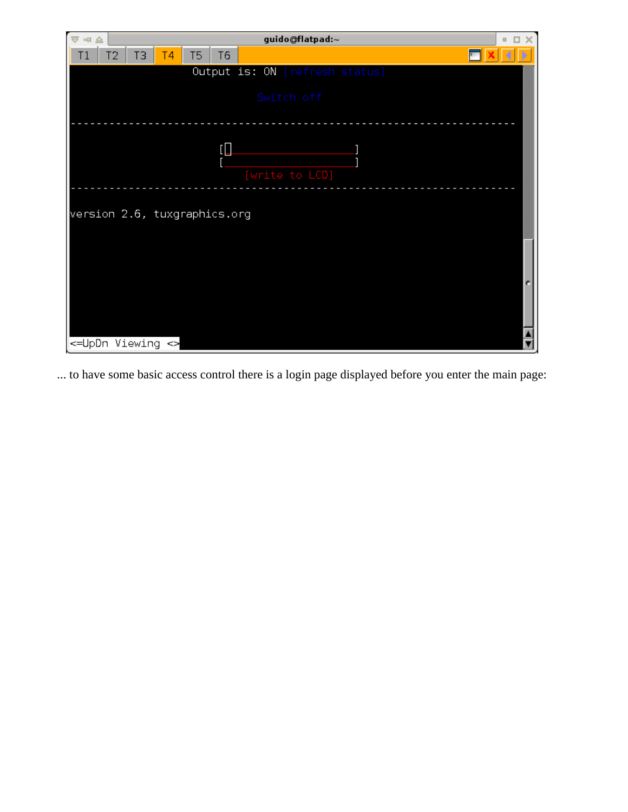| $\overline{\nabla} \ntriangleleft \triangleq$ |                | guido@flatpad:~<br>$\mathbf{H}$<br>$\times$ |    |    |                |  |                                |  |  |  |  |  |
|-----------------------------------------------|----------------|---------------------------------------------|----|----|----------------|--|--------------------------------|--|--|--|--|--|
| T1                                            | T <sub>2</sub> | TЗ                                          | Τ4 | T5 | T <sub>6</sub> |  |                                |  |  |  |  |  |
|                                               |                |                                             |    |    |                |  | Output is: ON [refresh status] |  |  |  |  |  |
| Switch off                                    |                |                                             |    |    |                |  |                                |  |  |  |  |  |
|                                               |                |                                             |    |    | $\overline{L}$ |  |                                |  |  |  |  |  |
|                                               |                |                                             |    |    |                |  | [write to LCD]                 |  |  |  |  |  |
| version 2.6, tuxgraphics.org                  |                |                                             |    |    |                |  |                                |  |  |  |  |  |
|                                               |                |                                             |    |    |                |  |                                |  |  |  |  |  |
|                                               |                |                                             |    |    |                |  |                                |  |  |  |  |  |
|                                               |                |                                             |    |    |                |  |                                |  |  |  |  |  |
| <=UpDn Viewing <>                             |                |                                             |    |    |                |  |                                |  |  |  |  |  |

... to have some basic access control there is a login page displayed before you enter the main page: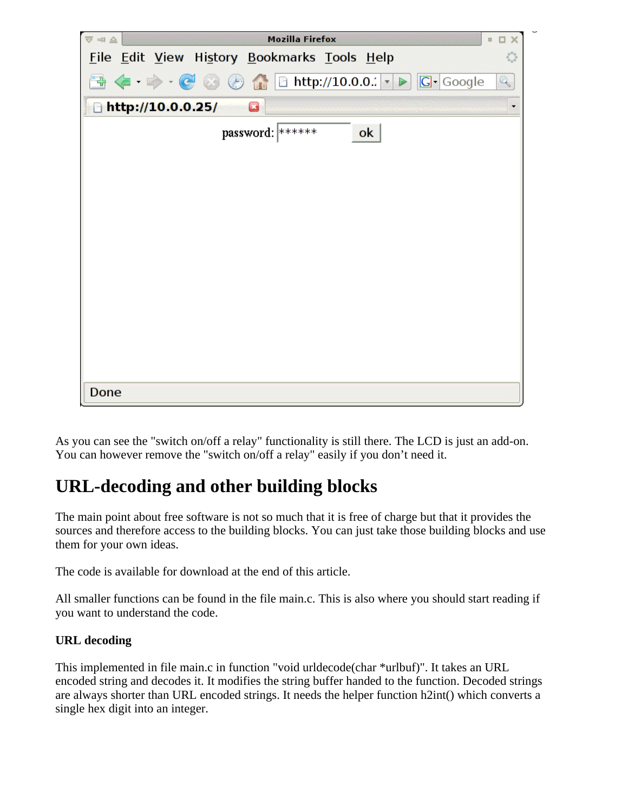

As you can see the "switch on/off a relay" functionality is still there. The LCD is just an add-on. You can however remove the "switch on/off a relay" easily if you don't need it.

# **URL-decoding and other building blocks**

The main point about free software is not so much that it is free of charge but that it provides the sources and therefore access to the building blocks. You can just take those building blocks and use them for your own ideas.

The code is available for download at the end of this article.

All smaller functions can be found in the file main.c. This is also where you should start reading if you want to understand the code.

#### **URL decoding**

This implemented in file main.c in function "void urldecode(char \*urlbuf)". It takes an URL encoded string and decodes it. It modifies the string buffer handed to the function. Decoded strings are always shorter than URL encoded strings. It needs the helper function h2int() which converts a single hex digit into an integer.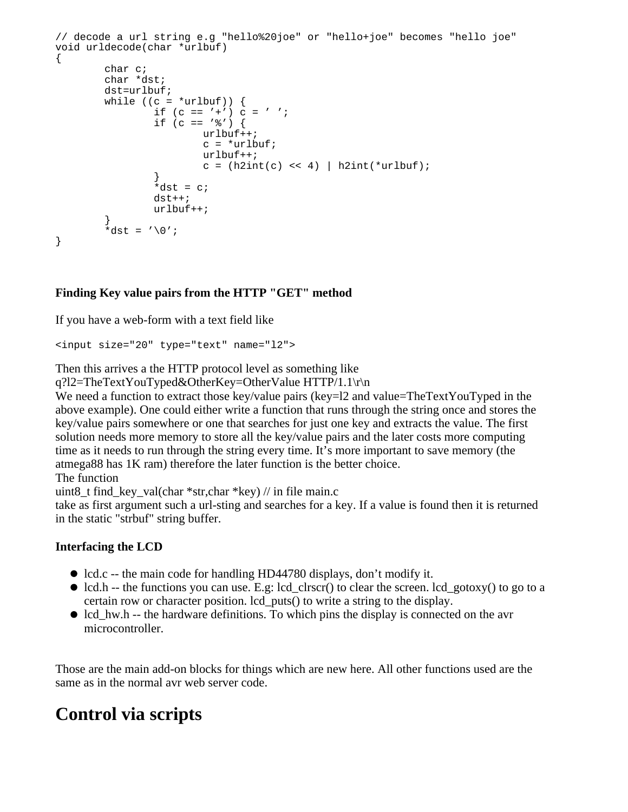```
// decode a url string e.g "hello%20joe" or "hello+joe" becomes "hello joe"
void urldecode(char *urlbuf)
{
        char c;
        char *dst;
        dst=urlbuf;
       while ((c = *urlbuf)) {
               if (c == '+'') c = ' 'if (c == ' '') {
                        urlbuf++;
                       c = *urlbuf; urlbuf++;
                       c = (h2int(c) \ll 4) | h2int(*urlbuf);
 }
               *dist = cidst++; urlbuf++;
 }
        *dist = '0';}
```
#### **Finding Key value pairs from the HTTP "GET" method**

If you have a web-form with a text field like

<input size="20" type="text" name="l2">

Then this arrives a the HTTP protocol level as something like

q?l2=TheTextYouTyped&OtherKey=OtherValue HTTP/1.1\r\n

We need a function to extract those key/value pairs (key=l2 and value=TheTextYouTyped in the above example). One could either write a function that runs through the string once and stores the key/value pairs somewhere or one that searches for just one key and extracts the value. The first solution needs more memory to store all the key/value pairs and the later costs more computing time as it needs to run through the string every time. It's more important to save memory (the atmega88 has 1K ram) therefore the later function is the better choice.

The function

uint8 t find key val(char \*str,char \*key) // in file main.c

take as first argument such a url-sting and searches for a key. If a value is found then it is returned in the static "strbuf" string buffer.

#### **Interfacing the LCD**

- lcd.c -- the main code for handling HD44780 displays, don't modify it.
- $\bullet$  lcd.h -- the functions you can use. E.g: lcd\_clrscr() to clear the screen. lcd\_gotoxy() to go to a certain row or character position. lcd\_puts() to write a string to the display.
- $\bullet$  lcd\_hw.h -- the hardware definitions. To which pins the display is connected on the avr microcontroller.

Those are the main add-on blocks for things which are new here. All other functions used are the same as in the normal avr web server code.

### **Control via scripts**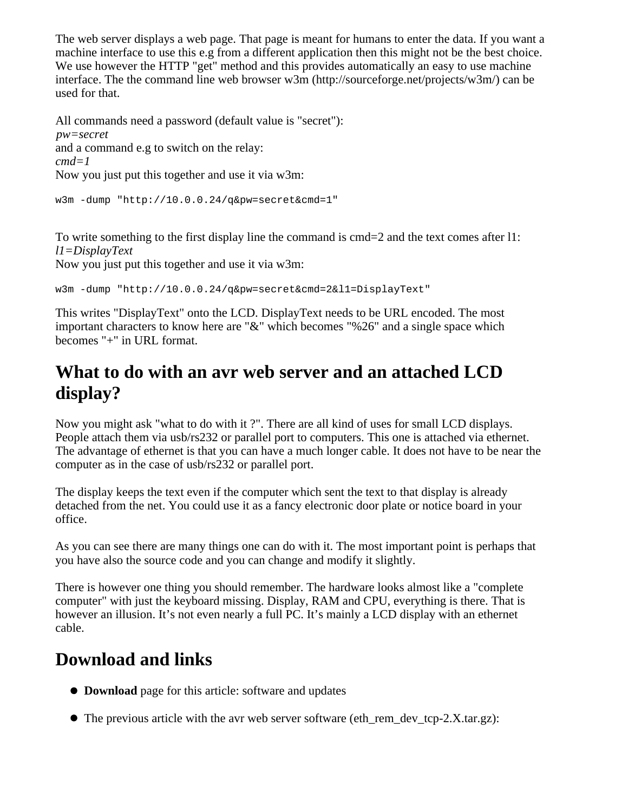The web server displays a web page. That page is meant for humans to enter the data. If you want a machine interface to use this e.g from a different application then this might not be the best choice. We use however the HTTP "get" method and this provides automatically an easy to use machine interface. The the command line web browser w3m (http://sourceforge.net/projects/w3m/) can be used for that.

All commands need a password (default value is "secret"): *pw=secret* and a command e.g to switch on the relay: *cmd=1* Now you just put this together and use it via w3m:

```
w3m -dump "http://10.0.0.24/q&pw=secret&cmd=1"
```
To write something to the first display line the command is cmd=2 and the text comes after 11: *l1=DisplayText*

Now you just put this together and use it via w3m:

w3m -dump "http://10.0.0.24/q&pw=secret&cmd=2&l1=DisplayText"

This writes "DisplayText" onto the LCD. DisplayText needs to be URL encoded. The most important characters to know here are "&" which becomes "%26" and a single space which becomes "+" in URL format.

## **What to do with an avr web server and an attached LCD display?**

Now you might ask "what to do with it ?". There are all kind of uses for small LCD displays. People attach them via usb/rs232 or parallel port to computers. This one is attached via ethernet. The advantage of ethernet is that you can have a much longer cable. It does not have to be near the computer as in the case of usb/rs232 or parallel port.

The display keeps the text even if the computer which sent the text to that display is already detached from the net. You could use it as a fancy electronic door plate or notice board in your office.

As you can see there are many things one can do with it. The most important point is perhaps that you have also the source code and you can change and modify it slightly.

There is however one thing you should remember. The hardware looks almost like a "complete computer" with just the keyboard missing. Display, RAM and CPU, everything is there. That is however an illusion. It's not even nearly a full PC. It's mainly a LCD display with an ethernet cable.

### **Download and links**

- **Download** page for this article: software and updates
- $\bullet$  The previous article with the avr web server software (eth rem dev tcp-2.X.tar.gz):